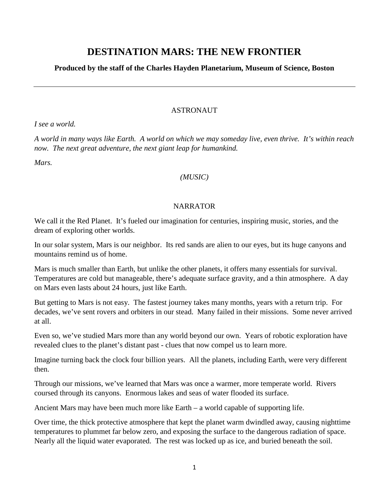# **DESTINATION MARS: THE NEW FRONTIER**

## **Produced by the staff of the Charles Hayden Planetarium, Museum of Science, Boston**

#### **ASTRONAUT**

*I see a world.* 

*A world in many ways like Earth. A world on which we may someday live, even thrive. It's within reach now. The next great adventure, the next giant leap for humankind.*

*Mars.*

### *(MUSIC)*

### NARRATOR

We call it the Red Planet. It's fueled our imagination for centuries, inspiring music, stories, and the dream of exploring other worlds.

In our solar system, Mars is our neighbor. Its red sands are alien to our eyes, but its huge canyons and mountains remind us of home.

Mars is much smaller than Earth, but unlike the other planets, it offers many essentials for survival. Temperatures are cold but manageable, there's adequate surface gravity, and a thin atmosphere. A day on Mars even lasts about 24 hours, just like Earth.

But getting to Mars is not easy. The fastest journey takes many months, years with a return trip. For decades, we've sent rovers and orbiters in our stead. Many failed in their missions. Some never arrived at all.

Even so, we've studied Mars more than any world beyond our own. Years of robotic exploration have revealed clues to the planet's distant past - clues that now compel us to learn more.

Imagine turning back the clock four billion years. All the planets, including Earth, were very different then.

Through our missions, we've learned that Mars was once a warmer, more temperate world. Rivers coursed through its canyons. Enormous lakes and seas of water flooded its surface.

Ancient Mars may have been much more like Earth – a world capable of supporting life.

Over time, the thick protective atmosphere that kept the planet warm dwindled away, causing nighttime temperatures to plummet far below zero, and exposing the surface to the dangerous radiation of space. Nearly all the liquid water evaporated. The rest was locked up as ice, and buried beneath the soil.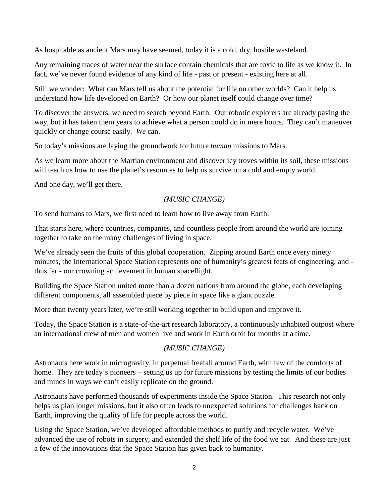As hospitable as ancient Mars may have seemed, today it is a cold, dry, hostile wasteland.

Any remaining traces of water near the surface contain chemicals that are toxic to life as we know it. In fact, we've never found evidence of any kind of life - past or present - existing here at all.

Still we wonder: What can Mars tell us about the potential for life on other worlds? Can it help us understand how life developed on Earth? Or how our planet itself could change over time?

To discover the answers, we need to search beyond Earth. Our robotic explorers are already paving the way, but it has taken them years to achieve what a person could do in mere hours. They can't maneuver quickly or change course easily. *We* can.

So today's missions are laying the groundwork for future *human* missions to Mars.

As we learn more about the Martian environment and discover icy troves within its soil, these missions will teach us how to use the planet's resources to help us survive on a cold and empty world.

And one day, we'll get there.

# *(MUSIC CHANGE)*

To send humans to Mars, we first need to learn how to live away from Earth.

That starts here, where countries, companies, and countless people from around the world are joining together to take on the many challenges of living in space.

We've already seen the fruits of this global cooperation. Zipping around Earth once every ninety minutes, the International Space Station represents one of humanity's greatest feats of engineering, and thus far - our crowning achievement in human spaceflight.

Building the Space Station united more than a dozen nations from around the globe, each developing different components, all assembled piece by piece in space like a giant puzzle.

More than twenty years later, we're still working together to build upon and improve it.

Today, the Space Station is a state-of-the-art research laboratory, a continuously inhabited outpost where an international crew of men and women live and work in Earth orbit for months at a time.

### *(MUSIC CHANGE)*

Astronauts here work in microgravity, in perpetual freefall around Earth, with few of the comforts of home. They are today's pioneers – setting us up for future missions by testing the limits of our bodies and minds in ways we can't easily replicate on the ground.

Astronauts have performed thousands of experiments inside the Space Station. This research not only helps us plan longer missions, but it also often leads to unexpected solutions for challenges back on Earth, improving the quality of life for people across the world.

Using the Space Station, we've developed affordable methods to purify and recycle water. We've advanced the use of robots in surgery, and extended the shelf life of the food we eat. And these are just a few of the innovations that the Space Station has given back to humanity.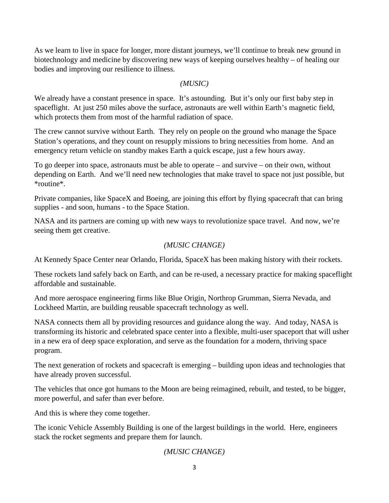As we learn to live in space for longer, more distant journeys, we'll continue to break new ground in biotechnology and medicine by discovering new ways of keeping ourselves healthy – of healing our bodies and improving our resilience to illness.

#### *(MUSIC)*

We already have a constant presence in space. It's astounding. But it's only our first baby step in spaceflight. At just 250 miles above the surface, astronauts are well within Earth's magnetic field, which protects them from most of the harmful radiation of space.

The crew cannot survive without Earth. They rely on people on the ground who manage the Space Station's operations, and they count on resupply missions to bring necessities from home. And an emergency return vehicle on standby makes Earth a quick escape, just a few hours away.

To go deeper into space, astronauts must be able to operate – and survive – on their own, without depending on Earth. And we'll need new technologies that make travel to space not just possible, but \*routine\*.

Private companies, like SpaceX and Boeing, are joining this effort by flying spacecraft that can bring supplies - and soon, humans - to the Space Station.

NASA and its partners are coming up with new ways to revolutionize space travel. And now, we're seeing them get creative.

### *(MUSIC CHANGE)*

At Kennedy Space Center near Orlando, Florida, SpaceX has been making history with their rockets.

These rockets land safely back on Earth, and can be re-used, a necessary practice for making spaceflight affordable and sustainable.

And more aerospace engineering firms like Blue Origin, Northrop Grumman, Sierra Nevada, and Lockheed Martin, are building reusable spacecraft technology as well.

NASA connects them all by providing resources and guidance along the way. And today, NASA is transforming its historic and celebrated space center into a flexible, multi-user spaceport that will usher in a new era of deep space exploration, and serve as the foundation for a modern, thriving space program.

The next generation of rockets and spacecraft is emerging – building upon ideas and technologies that have already proven successful.

The vehicles that once got humans to the Moon are being reimagined, rebuilt, and tested, to be bigger, more powerful, and safer than ever before.

And this is where they come together.

The iconic Vehicle Assembly Building is one of the largest buildings in the world. Here, engineers stack the rocket segments and prepare them for launch.

# *(MUSIC CHANGE)*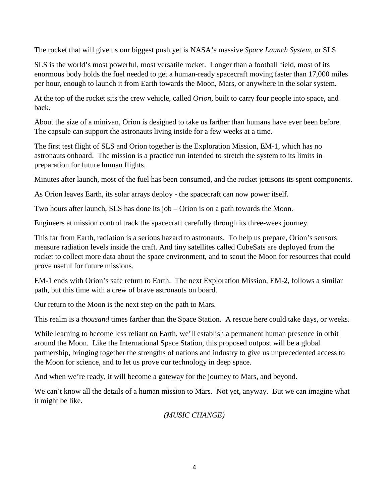The rocket that will give us our biggest push yet is NASA's massive *Space Launch System*, or SLS.

SLS is the world's most powerful, most versatile rocket. Longer than a football field, most of its enormous body holds the fuel needed to get a human-ready spacecraft moving faster than 17,000 miles per hour, enough to launch it from Earth towards the Moon, Mars, or anywhere in the solar system.

At the top of the rocket sits the crew vehicle, called *Orion*, built to carry four people into space, and back.

About the size of a minivan, Orion is designed to take us farther than humans have ever been before. The capsule can support the astronauts living inside for a few weeks at a time.

The first test flight of SLS and Orion together is the Exploration Mission, EM-1, which has no astronauts onboard. The mission is a practice run intended to stretch the system to its limits in preparation for future human flights.

Minutes after launch, most of the fuel has been consumed, and the rocket jettisons its spent components.

As Orion leaves Earth, its solar arrays deploy - the spacecraft can now power itself.

Two hours after launch, SLS has done its job – Orion is on a path towards the Moon.

Engineers at mission control track the spacecraft carefully through its three-week journey.

This far from Earth, radiation is a serious hazard to astronauts. To help us prepare, Orion's sensors measure radiation levels inside the craft. And tiny satellites called CubeSats are deployed from the rocket to collect more data about the space environment, and to scout the Moon for resources that could prove useful for future missions.

EM-1 ends with Orion's safe return to Earth. The next Exploration Mission, EM-2, follows a similar path, but this time with a crew of brave astronauts on board.

Our return to the Moon is the next step on the path to Mars.

This realm is a *thousand* times farther than the Space Station. A rescue here could take days, or weeks.

While learning to become less reliant on Earth, we'll establish a permanent human presence in orbit around the Moon. Like the International Space Station, this proposed outpost will be a global partnership, bringing together the strengths of nations and industry to give us unprecedented access to the Moon for science, and to let us prove our technology in deep space.

And when we're ready, it will become a gateway for the journey to Mars, and beyond.

We can't know all the details of a human mission to Mars. Not yet, anyway. But we can imagine what it might be like.

### *(MUSIC CHANGE)*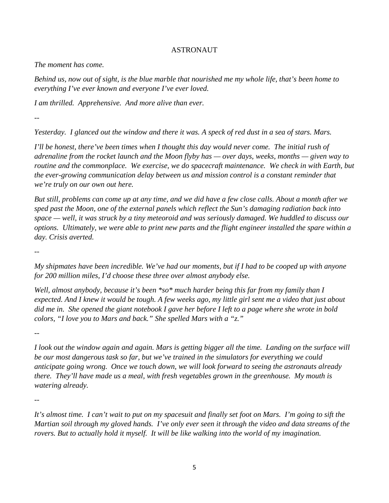#### ASTRONAUT

*The moment has come.*

*Behind us, now out of sight, is the blue marble that nourished me my whole life, that's been home to everything I've ever known and everyone I've ever loved.*

*I am thrilled. Apprehensive. And more alive than ever.*

*--*

*Yesterday. I glanced out the window and there it was. A speck of red dust in a sea of stars. Mars.*

*I'll be honest, there've been times when I thought this day would never come. The initial rush of adrenaline from the rocket launch and the Moon flyby has — over days, weeks, months — given way to routine and the commonplace. We exercise, we do spacecraft maintenance. We check in with Earth, but the ever-growing communication delay between us and mission control is a constant reminder that we're truly on our own out here.*

*But still, problems can come up at any time, and we did have a few close calls. About a month after we sped past the Moon, one of the external panels which reflect the Sun's damaging radiation back into space — well, it was struck by a tiny meteoroid and was seriously damaged. We huddled to discuss our options. Ultimately, we were able to print new parts and the flight engineer installed the spare within a day. Crisis averted.*

*--*

*My shipmates have been incredible. We've had our moments, but if I had to be cooped up with anyone for 200 million miles, I'd choose these three over almost anybody else.*

*Well, almost anybody, because it's been \*so\* much harder being this far from my family than I expected. And I knew it would be tough. A few weeks ago, my little girl sent me a video that just about did me in. She opened the giant notebook I gave her before I left to a page where she wrote in bold colors, "I love you to Mars and back." She spelled Mars with a "z."*

*--*

*I look out the window again and again. Mars is getting bigger all the time. Landing on the surface will be our most dangerous task so far, but we've trained in the simulators for everything we could anticipate going wrong. Once we touch down, we will look forward to seeing the astronauts already there. They'll have made us a meal, with fresh vegetables grown in the greenhouse. My mouth is watering already.*

*--*

*It's almost time. I can't wait to put on my spacesuit and finally set foot on Mars. I'm going to sift the Martian soil through my gloved hands. I've only ever seen it through the video and data streams of the rovers. But to actually hold it myself. It will be like walking into the world of my imagination.*